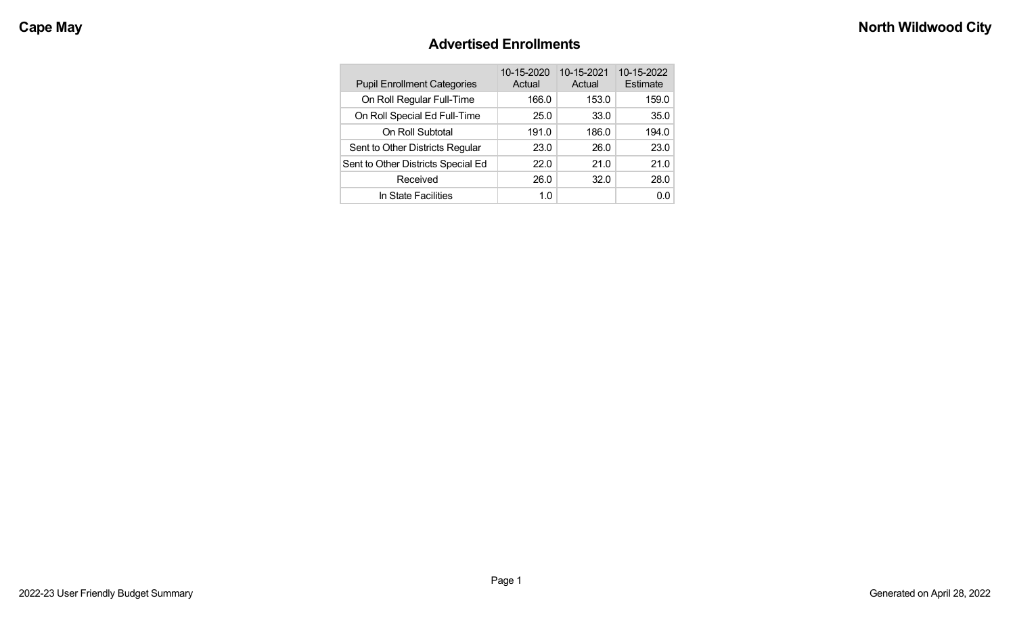### **Advertised Enrollments**

| <b>Pupil Enrollment Categories</b> | 10-15-2020<br>Actual | 10-15-2021<br>Actual | 10-15-2022<br>Estimate |
|------------------------------------|----------------------|----------------------|------------------------|
| On Roll Regular Full-Time          | 166.0                | 153.0                | 159.0                  |
| On Roll Special Ed Full-Time       | 25.0                 | 33.0                 | 35.0                   |
| On Roll Subtotal                   | 191.0                | 186.0                | 194.0                  |
| Sent to Other Districts Regular    | 23.0                 | 26.0                 | 23.0                   |
| Sent to Other Districts Special Ed | 22.0                 | 21.0                 | 21.0                   |
| Received                           | 26.0                 | 32.0                 | 28.0                   |
| In State Facilities                | 1.0                  |                      | 0.0                    |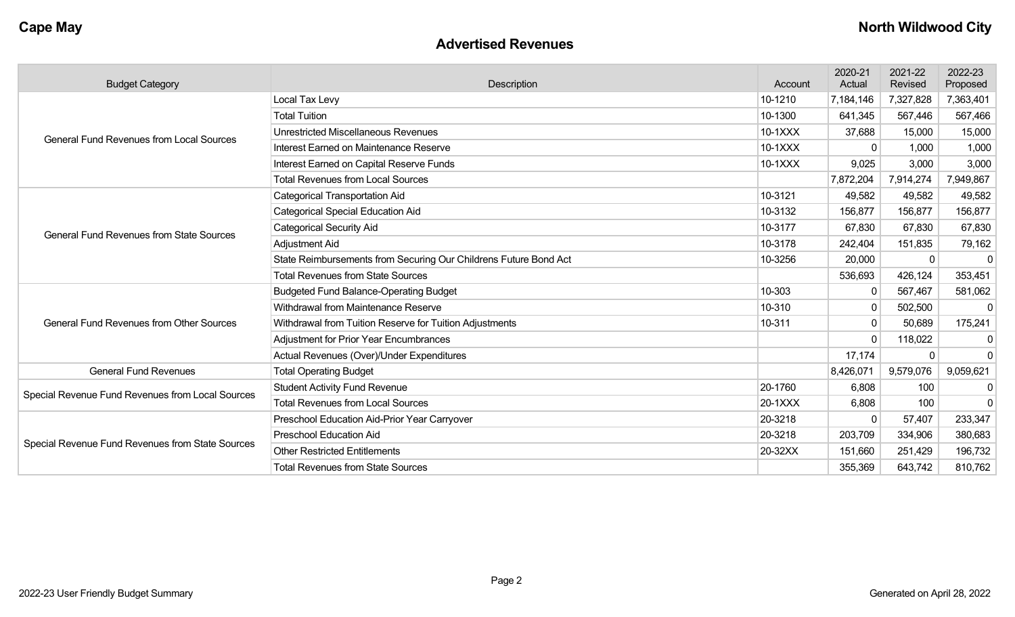### **Advertised Revenues**

| <b>Budget Category</b>                                                                                                                                                                                                                    | Description                                                      | Account | 2020-21<br>Actual | 2021-22<br>Revised | 2022-23<br>Proposed |
|-------------------------------------------------------------------------------------------------------------------------------------------------------------------------------------------------------------------------------------------|------------------------------------------------------------------|---------|-------------------|--------------------|---------------------|
|                                                                                                                                                                                                                                           | Local Tax Levy                                                   | 10-1210 | 7,184,146         | 7,327,828          | 7,363,401           |
| <b>General Fund Revenues from Local Sources</b><br><b>General Fund Revenues from State Sources</b><br><b>General Fund Revenues from Other Sources</b><br><b>General Fund Revenues</b><br>Special Revenue Fund Revenues from Local Sources | <b>Total Tuition</b>                                             | 10-1300 | 641,345           | 567,446            | 567,466             |
|                                                                                                                                                                                                                                           | <b>Unrestricted Miscellaneous Revenues</b>                       | 10-1XXX | 37,688            | 15,000             | 15,000              |
|                                                                                                                                                                                                                                           | Interest Earned on Maintenance Reserve                           | 10-1XXX | 0                 | 1,000              | 1,000               |
|                                                                                                                                                                                                                                           | Interest Earned on Capital Reserve Funds                         | 10-1XXX | 9,025             | 3,000              | 3,000               |
|                                                                                                                                                                                                                                           | <b>Total Revenues from Local Sources</b>                         |         | 7,872,204         | 7,914,274          | 7,949,867           |
|                                                                                                                                                                                                                                           | <b>Categorical Transportation Aid</b>                            | 10-3121 | 49,582            | 49,582             | 49,582              |
|                                                                                                                                                                                                                                           | <b>Categorical Special Education Aid</b>                         | 10-3132 | 156,877           | 156,877            | 156,877             |
|                                                                                                                                                                                                                                           | <b>Categorical Security Aid</b>                                  | 10-3177 | 67,830            | 67,830             | 67,830              |
|                                                                                                                                                                                                                                           | Adjustment Aid                                                   | 10-3178 | 242,404           | 151,835            | 79,162              |
|                                                                                                                                                                                                                                           | State Reimbursements from Securing Our Childrens Future Bond Act | 10-3256 | 20,000            | $\Omega$           | $\mathbf 0$         |
|                                                                                                                                                                                                                                           | <b>Total Revenues from State Sources</b>                         |         | 536,693           | 426,124            | 353,451             |
|                                                                                                                                                                                                                                           | <b>Budgeted Fund Balance-Operating Budget</b>                    | 10-303  | $\mathbf{0}$      | 567,467            | 581,062             |
|                                                                                                                                                                                                                                           | Withdrawal from Maintenance Reserve                              | 10-310  | $\mathbf{0}$      | 502,500            | $\mathbf{0}$        |
|                                                                                                                                                                                                                                           | Withdrawal from Tuition Reserve for Tuition Adjustments          | 10-311  | 0                 | 50,689             | 175,241             |
|                                                                                                                                                                                                                                           | <b>Adjustment for Prior Year Encumbrances</b>                    |         | $\Omega$          | 118,022            | 0                   |
|                                                                                                                                                                                                                                           | Actual Revenues (Over)/Under Expenditures                        |         | 17,174            |                    | $\mathbf 0$         |
|                                                                                                                                                                                                                                           | <b>Total Operating Budget</b>                                    |         | 8,426,071         | 9,579,076          | 9,059,621           |
|                                                                                                                                                                                                                                           | <b>Student Activity Fund Revenue</b>                             | 20-1760 | 6,808             | 100                | $\mathbf 0$         |
|                                                                                                                                                                                                                                           | <b>Total Revenues from Local Sources</b>                         | 20-1XXX | 6,808             | 100                | $\Omega$            |
|                                                                                                                                                                                                                                           | Preschool Education Aid-Prior Year Carryover                     | 20-3218 | $\Omega$          | 57,407             | 233,347             |
|                                                                                                                                                                                                                                           | <b>Preschool Education Aid</b>                                   | 20-3218 | 203,709           | 334,906            | 380,683             |
| Special Revenue Fund Revenues from State Sources                                                                                                                                                                                          | <b>Other Restricted Entitlements</b>                             | 20-32XX | 151,660           | 251,429            | 196,732             |
|                                                                                                                                                                                                                                           | <b>Total Revenues from State Sources</b>                         |         | 355,369           | 643,742            | 810,762             |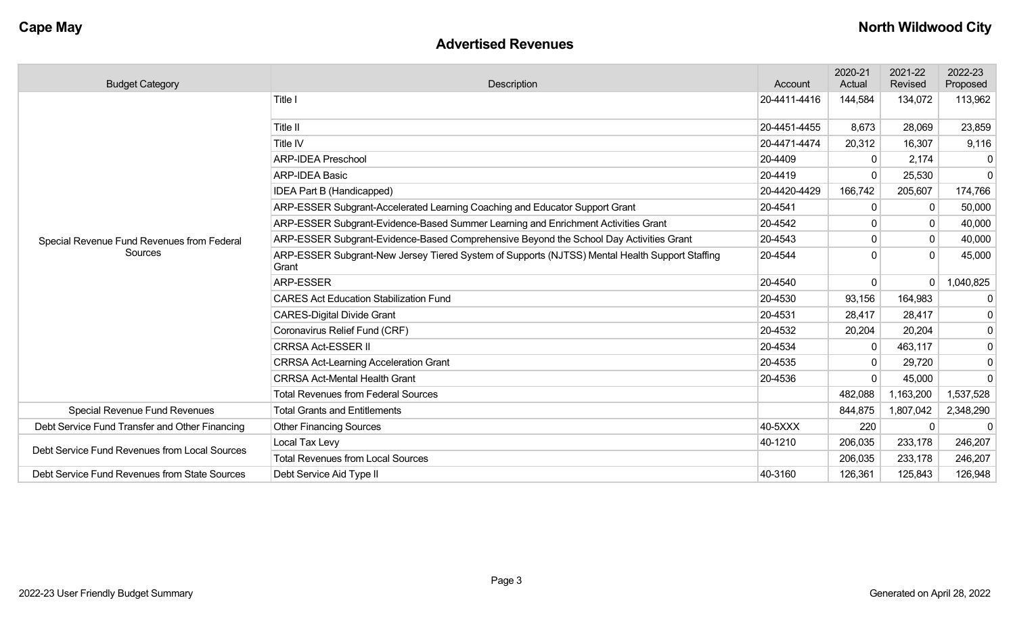### **Advertised Revenues**

| <b>Budget Category</b>                         | Description                                                                                             | Account      | 2020-21<br>Actual | 2021-22<br>Revised | 2022-23<br>Proposed |
|------------------------------------------------|---------------------------------------------------------------------------------------------------------|--------------|-------------------|--------------------|---------------------|
|                                                | Title I                                                                                                 | 20-4411-4416 | 144,584           | 134,072            | 113,962             |
|                                                | Title II                                                                                                | 20-4451-4455 | 8,673             | 28,069             | 23,859              |
|                                                | Title IV                                                                                                | 20-4471-4474 | 20,312            | 16,307             | 9,116               |
|                                                | <b>ARP-IDEA Preschool</b>                                                                               | 20-4409      | $\mathbf{0}$      | 2,174              | $\mathbf{0}$        |
|                                                | <b>ARP-IDEA Basic</b>                                                                                   | 20-4419      | $\Omega$          | 25,530             | $\mathbf 0$         |
|                                                | IDEA Part B (Handicapped)                                                                               | 20-4420-4429 | 166,742           | 205,607            | 174,766             |
|                                                | ARP-ESSER Subgrant-Accelerated Learning Coaching and Educator Support Grant                             | 20-4541      | $\Omega$          |                    | 50,000              |
|                                                | ARP-ESSER Subgrant-Evidence-Based Summer Learning and Enrichment Activities Grant                       | 20-4542      | $\mathbf{0}$      | 0                  | 40,000              |
| Special Revenue Fund Revenues from Federal     | ARP-ESSER Subgrant-Evidence-Based Comprehensive Beyond the School Day Activities Grant                  | 20-4543      | $\Omega$          | $\Omega$           | 40,000              |
| Sources                                        | ARP-ESSER Subgrant-New Jersey Tiered System of Supports (NJTSS) Mental Health Support Staffing<br>Grant | 20-4544      | $\Omega$          | $\Omega$           | 45,000              |
|                                                | <b>ARP-ESSER</b>                                                                                        | 20-4540      | $\overline{0}$    |                    | 1,040,825           |
|                                                | <b>CARES Act Education Stabilization Fund</b>                                                           | 20-4530      | 93,156            | 164,983            | $\mathbf 0$         |
|                                                | <b>CARES-Digital Divide Grant</b>                                                                       | 20-4531      | 28,417            | 28,417             | 0                   |
|                                                | Coronavirus Relief Fund (CRF)                                                                           | 20-4532      | 20,204            | 20,204             | 0                   |
|                                                | <b>CRRSA Act-ESSER II</b>                                                                               | 20-4534      | $\mathbf 0$       | 463,117            | 0                   |
|                                                | <b>CRRSA Act-Learning Acceleration Grant</b>                                                            | 20-4535      | 0                 | 29,720             | 0                   |
|                                                | <b>CRRSA Act-Mental Health Grant</b>                                                                    | 20-4536      | $\Omega$          | 45,000             | $\mathbf 0$         |
|                                                | <b>Total Revenues from Federal Sources</b>                                                              |              | 482,088           | 1,163,200          | 1,537,528           |
| <b>Special Revenue Fund Revenues</b>           | <b>Total Grants and Entitlements</b>                                                                    |              | 844,875           | 1,807,042          | 2,348,290           |
| Debt Service Fund Transfer and Other Financing | <b>Other Financing Sources</b>                                                                          | 40-5XXX      | 220               | $\Omega$           | $\Omega$            |
| Debt Service Fund Revenues from Local Sources  | Local Tax Levy                                                                                          | 40-1210      | 206,035           | 233,178            | 246,207             |
|                                                | <b>Total Revenues from Local Sources</b>                                                                |              | 206,035           | 233,178            | 246,207             |
| Debt Service Fund Revenues from State Sources  | Debt Service Aid Type II                                                                                | 40-3160      | 126,361           | 125,843            | 126,948             |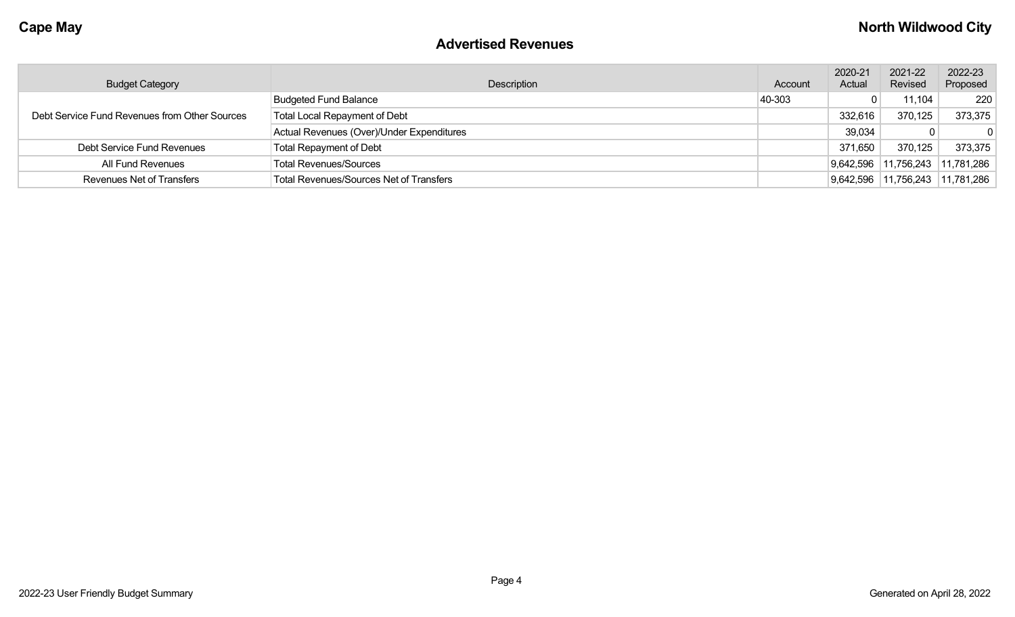### **Advertised Revenues**

| <b>Budget Category</b>                        | Description                                    | Account | 2020-21<br>Actual | 2021-22<br>Revised   | 2022-23<br>Proposed |
|-----------------------------------------------|------------------------------------------------|---------|-------------------|----------------------|---------------------|
| Debt Service Fund Revenues from Other Sources | <b>Budgeted Fund Balance</b>                   | 40-303  |                   | 11,104               | 220                 |
|                                               | Total Local Repayment of Debt                  |         | 332,616           | 370,125              | 373,375             |
|                                               | Actual Revenues (Over)/Under Expenditures      |         | 39,034            |                      |                     |
| Debt Service Fund Revenues                    | <b>Total Repayment of Debt</b>                 |         | 371,650           | 370,125              | 373,375             |
| All Fund Revenues                             | <b>Total Revenues/Sources</b>                  |         |                   | 9,642,596 11,756,243 | 11,781,286          |
| <b>Revenues Net of Transfers</b>              | <b>Total Revenues/Sources Net of Transfers</b> |         |                   | 9,642,596 11,756,243 | 11,781,286          |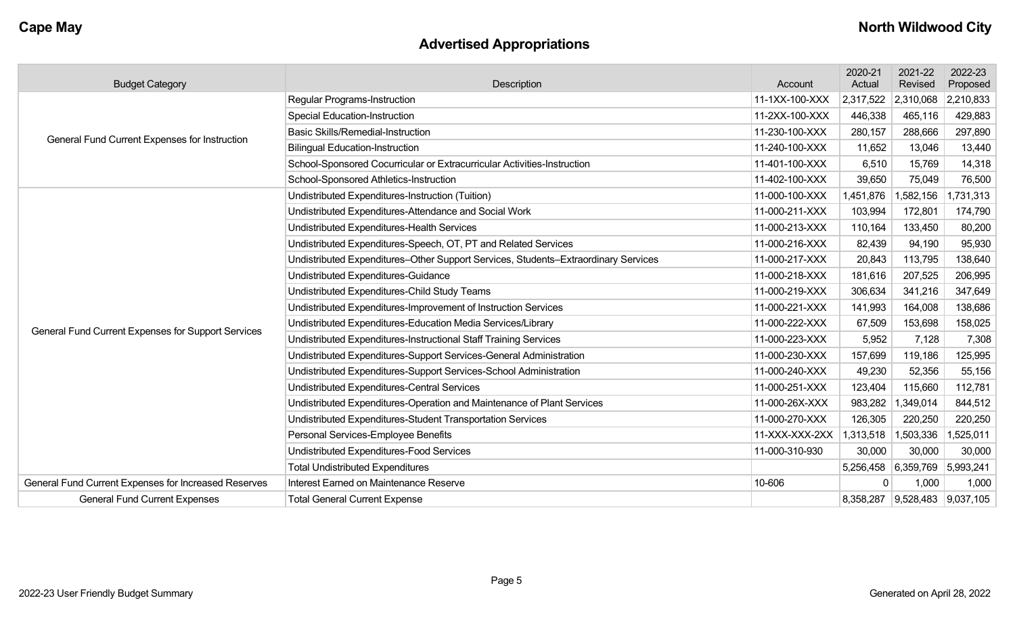# **Advertised Appropriations**

| <b>Budget Category</b>                               | Description                                                                        | Account        | 2020-21<br>Actual             | 2021-22<br>Revised | 2022-23<br>Proposed |
|------------------------------------------------------|------------------------------------------------------------------------------------|----------------|-------------------------------|--------------------|---------------------|
|                                                      | Regular Programs-Instruction                                                       | 11-1XX-100-XXX | 2,317,522                     | 2,310,068          | 2,210,833           |
| General Fund Current Expenses for Instruction        | <b>Special Education-Instruction</b>                                               | 11-2XX-100-XXX | 446,338                       | 465,116            | 429,883             |
|                                                      | <b>Basic Skills/Remedial-Instruction</b>                                           | 11-230-100-XXX | 280,157                       | 288,666            | 297,890             |
|                                                      | <b>Bilingual Education-Instruction</b>                                             | 11-240-100-XXX | 11,652                        | 13,046             | 13,440              |
|                                                      | School-Sponsored Cocurricular or Extracurricular Activities-Instruction            | 11-401-100-XXX | 6,510                         | 15,769             | 14,318              |
|                                                      | School-Sponsored Athletics-Instruction                                             | 11-402-100-XXX | 39,650                        | 75,049             | 76,500              |
|                                                      | Undistributed Expenditures-Instruction (Tuition)                                   | 11-000-100-XXX | 1,451,876                     | ,582,156<br>-1     | 1,731,313           |
|                                                      | Undistributed Expenditures-Attendance and Social Work                              | 11-000-211-XXX | 103,994                       | 172,801            | 174,790             |
|                                                      | Undistributed Expenditures-Health Services                                         | 11-000-213-XXX | 110,164                       | 133,450            | 80,200              |
|                                                      | Undistributed Expenditures-Speech, OT, PT and Related Services                     | 11-000-216-XXX | 82,439                        | 94,190             | 95,930              |
|                                                      | Undistributed Expenditures-Other Support Services, Students-Extraordinary Services | 11-000-217-XXX | 20,843                        | 113,795            | 138,640             |
|                                                      | Undistributed Expenditures-Guidance                                                | 11-000-218-XXX | 181,616                       | 207,525            | 206,995             |
|                                                      | Undistributed Expenditures-Child Study Teams                                       | 11-000-219-XXX | 306,634                       | 341,216            | 347,649             |
|                                                      | Undistributed Expenditures-Improvement of Instruction Services                     | 11-000-221-XXX | 141,993                       | 164,008            | 138,686             |
|                                                      | Undistributed Expenditures-Education Media Services/Library                        | 11-000-222-XXX | 67,509                        | 153,698            | 158,025             |
| General Fund Current Expenses for Support Services   | Undistributed Expenditures-Instructional Staff Training Services                   | 11-000-223-XXX | 5,952                         | 7,128              | 7,308               |
|                                                      | Undistributed Expenditures-Support Services-General Administration                 | 11-000-230-XXX | 157,699                       | 119,186            | 125,995             |
|                                                      | Undistributed Expenditures-Support Services-School Administration                  | 11-000-240-XXX | 49,230                        | 52,356             | 55,156              |
|                                                      | <b>Undistributed Expenditures-Central Services</b>                                 | 11-000-251-XXX | 123,404                       | 115,660            | 112,781             |
|                                                      | Undistributed Expenditures-Operation and Maintenance of Plant Services             | 11-000-26X-XXX | 983,282                       | ,349,014<br>-1     | 844,512             |
|                                                      | Undistributed Expenditures-Student Transportation Services                         | 11-000-270-XXX | 126,305                       | 220,250            | 220,250             |
|                                                      | Personal Services-Employee Benefits                                                | 11-XXX-XXX-2XX | 1,313,518                     | 1,503,336          | 1,525,011           |
|                                                      | Undistributed Expenditures-Food Services                                           | 11-000-310-930 | 30,000                        | 30,000             | 30,000              |
|                                                      | <b>Total Undistributed Expenditures</b>                                            |                | 5,256,458 6,359,769 5,993,241 |                    |                     |
| General Fund Current Expenses for Increased Reserves | Interest Earned on Maintenance Reserve                                             | 10-606         | $\mathbf{0}$                  | 1,000              | 1,000               |
| <b>General Fund Current Expenses</b>                 | <b>Total General Current Expense</b>                                               |                | 8,358,287 9,528,483 9,037,105 |                    |                     |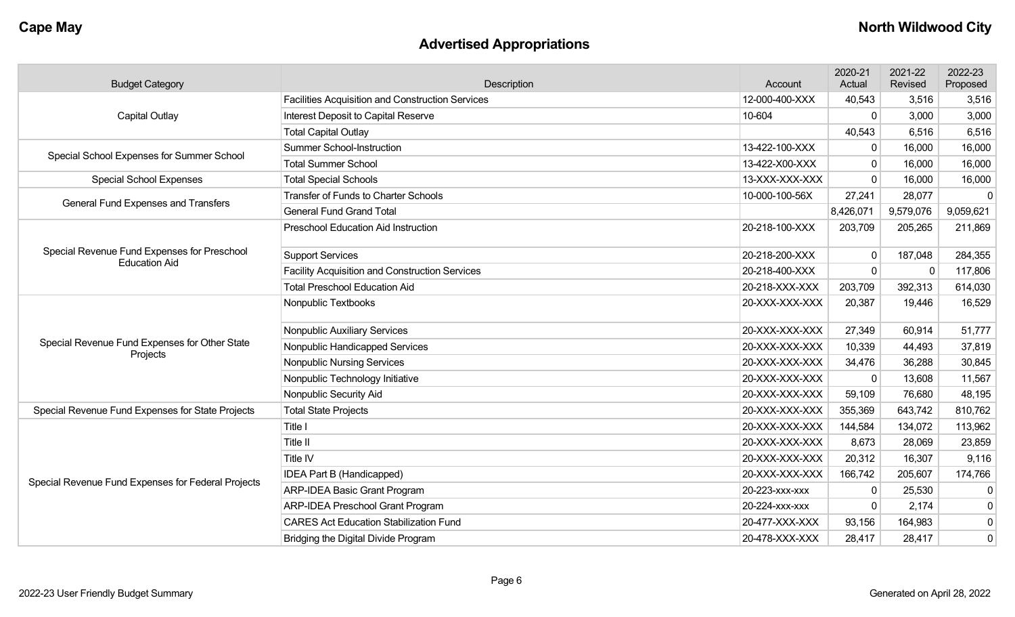# **Advertised Appropriations**

| <b>Budget Category</b>                                              | Description                                             | Account        | 2020-21<br>Actual | 2021-22<br>Revised | 2022-23<br>Proposed |
|---------------------------------------------------------------------|---------------------------------------------------------|----------------|-------------------|--------------------|---------------------|
|                                                                     | <b>Facilities Acquisition and Construction Services</b> | 12-000-400-XXX | 40,543            | 3,516              | 3,516               |
| <b>Capital Outlay</b>                                               | Interest Deposit to Capital Reserve                     | 10-604         | 0                 | 3,000              | 3,000               |
|                                                                     | <b>Total Capital Outlay</b>                             |                | 40,543            | 6,516              | 6,516               |
| Special School Expenses for Summer School                           | Summer School-Instruction                               | 13-422-100-XXX | $\mathbf 0$       | 16,000             | 16,000              |
|                                                                     | <b>Total Summer School</b>                              | 13-422-X00-XXX | $\Omega$          | 16,000             | 16,000              |
| <b>Special School Expenses</b>                                      | <b>Total Special Schools</b>                            | 13-XXX-XXX-XXX | $\Omega$          | 16,000             | 16,000              |
| General Fund Expenses and Transfers                                 | Transfer of Funds to Charter Schools                    | 10-000-100-56X | 27,241            | 28,077             | $\mathbf 0$         |
|                                                                     | <b>General Fund Grand Total</b>                         |                | 8,426,071         | 9,579,076          | 9,059,621           |
|                                                                     | <b>Preschool Education Aid Instruction</b>              | 20-218-100-XXX | 203,709           | 205,265            | 211,869             |
| Special Revenue Fund Expenses for Preschool<br><b>Education Aid</b> | <b>Support Services</b>                                 | 20-218-200-XXX | $\mathbf 0$       | 187,048            | 284,355             |
|                                                                     | <b>Facility Acquisition and Construction Services</b>   | 20-218-400-XXX | 0                 |                    | 117,806             |
|                                                                     | <b>Total Preschool Education Aid</b>                    | 20-218-XXX-XXX | 203,709           | 392,313            | 614,030             |
|                                                                     | Nonpublic Textbooks                                     | 20-XXX-XXX-XXX | 20,387            | 19,446             | 16,529              |
|                                                                     | Nonpublic Auxiliary Services                            | 20-XXX-XXX-XXX | 27,349            | 60,914             | 51,777              |
| Special Revenue Fund Expenses for Other State<br>Projects           | Nonpublic Handicapped Services                          | 20-XXX-XXX-XXX | 10,339            | 44,493             | 37,819              |
|                                                                     | <b>Nonpublic Nursing Services</b>                       | 20-XXX-XXX-XXX | 34,476            | 36,288             | 30,845              |
|                                                                     | Nonpublic Technology Initiative                         | 20-XXX-XXX-XXX | $\mathbf 0$       | 13,608             | 11,567              |
|                                                                     | Nonpublic Security Aid                                  | 20-XXX-XXX-XXX | 59,109            | 76,680             | 48,195              |
| Special Revenue Fund Expenses for State Projects                    | <b>Total State Projects</b>                             | 20-XXX-XXX-XXX | 355,369           | 643,742            | 810,762             |
|                                                                     | Title I                                                 | 20-XXX-XXX-XXX | 144,584           | 134,072            | 113,962             |
|                                                                     | Title II                                                | 20-XXX-XXX-XXX | 8,673             | 28,069             | 23,859              |
|                                                                     | Title IV                                                | 20-XXX-XXX-XXX | 20,312            | 16,307             | 9,116               |
|                                                                     | IDEA Part B (Handicapped)                               | 20-XXX-XXX-XXX | 166,742           | 205,607            | 174,766             |
| Special Revenue Fund Expenses for Federal Projects                  | <b>ARP-IDEA Basic Grant Program</b>                     | 20-223-xxx-xxx | 0                 | 25,530             | 0                   |
|                                                                     | ARP-IDEA Preschool Grant Program                        | 20-224-xxx-xxx | $\mathbf 0$       | 2,174              | $\mathbf 0$         |
|                                                                     | <b>CARES Act Education Stabilization Fund</b>           | 20-477-XXX-XXX | 93,156            | 164,983            | $\pmb{0}$           |
|                                                                     | Bridging the Digital Divide Program                     | 20-478-XXX-XXX | 28,417            | 28,417             | $\mathbf 0$         |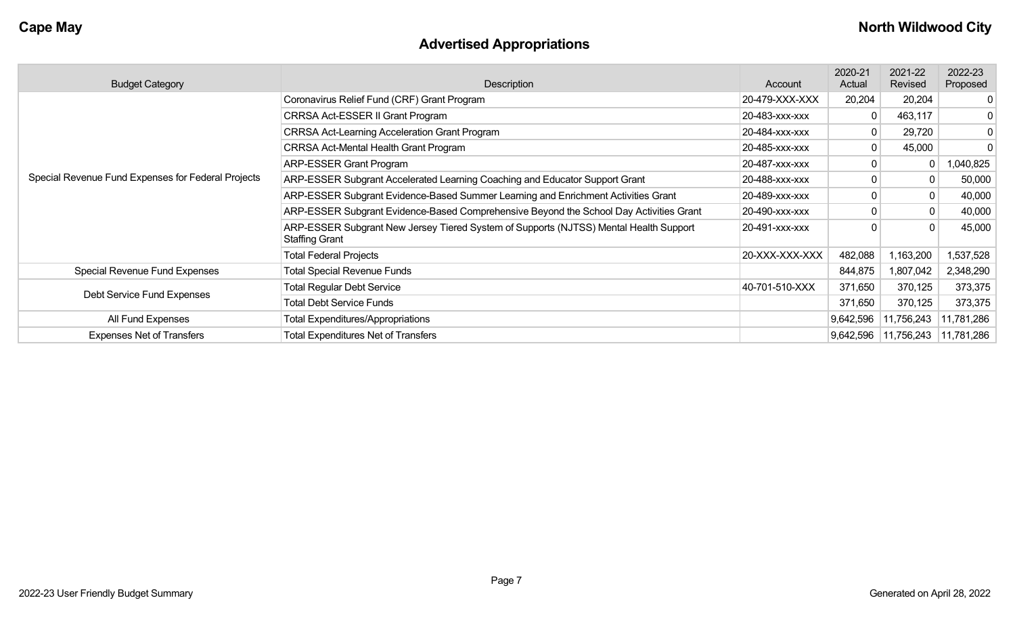# **Advertised Appropriations**

| <b>Budget Category</b>                             | Description                                                                                                    | Account        | 2020-21<br>Actual | 2021-22<br>Revised                  | 2022-23<br>Proposed |
|----------------------------------------------------|----------------------------------------------------------------------------------------------------------------|----------------|-------------------|-------------------------------------|---------------------|
|                                                    | Coronavirus Relief Fund (CRF) Grant Program                                                                    | 20-479-XXX-XXX | 20,204            | 20,204                              | 0                   |
|                                                    | <b>CRRSA Act-ESSER II Grant Program</b>                                                                        | 20-483-xxx-xxx | 0                 | 463,117                             | 0                   |
|                                                    | <b>CRRSA Act-Learning Acceleration Grant Program</b>                                                           | 20-484-XXX-XXX | 0                 | 29,720                              | 0                   |
|                                                    | <b>CRRSA Act-Mental Health Grant Program</b>                                                                   | 20-485-xxx-xxx | 0                 | 45,000                              | 0                   |
|                                                    | <b>ARP-ESSER Grant Program</b>                                                                                 | 20-487-xxx-xxx |                   | 0                                   | 1,040,825           |
| Special Revenue Fund Expenses for Federal Projects | ARP-ESSER Subgrant Accelerated Learning Coaching and Educator Support Grant                                    | 20-488-xxx-xxx |                   |                                     | 50,000              |
|                                                    | ARP-ESSER Subgrant Evidence-Based Summer Learning and Enrichment Activities Grant                              | 20-489-xxx-xxx |                   | 0                                   | 40,000              |
|                                                    | ARP-ESSER Subgrant Evidence-Based Comprehensive Beyond the School Day Activities Grant                         | 20-490-XXX-XXX |                   | 0                                   | 40,000              |
|                                                    | ARP-ESSER Subgrant New Jersey Tiered System of Supports (NJTSS) Mental Health Support<br><b>Staffing Grant</b> | 20-491-xxx-xxx |                   | $\Omega$                            | 45,000              |
|                                                    | <b>Total Federal Projects</b>                                                                                  | 20-XXX-XXX-XXX | 482,088           | 1,163,200                           | 1,537,528           |
| Special Revenue Fund Expenses                      | <b>Total Special Revenue Funds</b>                                                                             |                | 844,875           | 1,807,042                           | 2,348,290           |
|                                                    | <b>Total Regular Debt Service</b>                                                                              | 40-701-510-XXX | 371,650           | 370,125                             | 373,375             |
| Debt Service Fund Expenses                         | <b>Total Debt Service Funds</b>                                                                                |                | 371,650           | 370,125                             | 373,375             |
| All Fund Expenses                                  | <b>Total Expenditures/Appropriations</b>                                                                       |                | 9,642,596         | 11,756,243                          | 11,781,286          |
| <b>Expenses Net of Transfers</b>                   | <b>Total Expenditures Net of Transfers</b>                                                                     |                |                   | 9,642,596   11,756,243   11,781,286 |                     |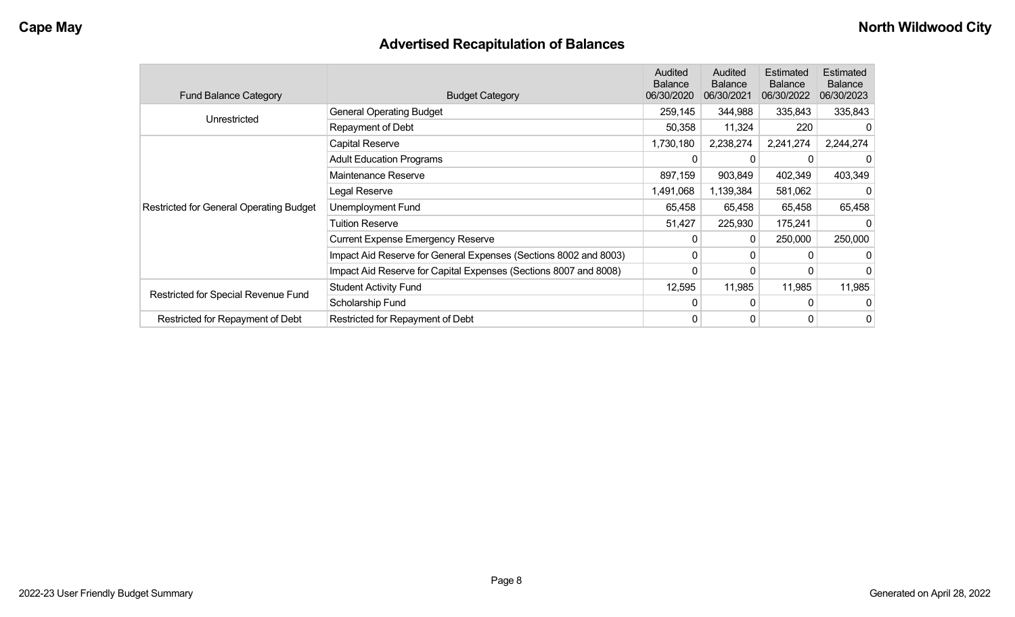# **Advertised Recapitulation of Balances**

| <b>Fund Balance Category</b>                   | <b>Budget Category</b>                                           | Audited<br><b>Balance</b><br>06/30/2020 | Audited<br><b>Balance</b><br>06/30/2021 | Estimated<br><b>Balance</b><br>06/30/2022 | <b>Estimated</b><br><b>Balance</b><br>06/30/2023 |
|------------------------------------------------|------------------------------------------------------------------|-----------------------------------------|-----------------------------------------|-------------------------------------------|--------------------------------------------------|
| Unrestricted                                   | <b>General Operating Budget</b>                                  | 259,145                                 | 344,988                                 | 335,843                                   | 335,843                                          |
|                                                | Repayment of Debt                                                | 50,358                                  | 11,324                                  | 220                                       |                                                  |
|                                                | Capital Reserve                                                  | 1,730,180                               | 2,238,274                               | 2,241,274                                 | 2,244,274                                        |
|                                                | <b>Adult Education Programs</b>                                  | 0                                       |                                         |                                           |                                                  |
| <b>Restricted for General Operating Budget</b> | Maintenance Reserve                                              | 897,159                                 | 903,849                                 | 402,349                                   | 403,349                                          |
|                                                | Legal Reserve                                                    | 1,491,068                               | 1,139,384                               | 581,062                                   |                                                  |
|                                                | Unemployment Fund                                                | 65,458                                  | 65,458                                  | 65,458                                    | 65,458                                           |
|                                                | <b>Tuition Reserve</b>                                           | 51,427                                  | 225,930                                 | 175,241                                   |                                                  |
|                                                | <b>Current Expense Emergency Reserve</b>                         | 0                                       | 0                                       | 250,000                                   | 250,000                                          |
|                                                | Impact Aid Reserve for General Expenses (Sections 8002 and 8003) | 0                                       | 0                                       | 0                                         |                                                  |
|                                                | Impact Aid Reserve for Capital Expenses (Sections 8007 and 8008) | 0                                       | 0                                       |                                           |                                                  |
|                                                | <b>Student Activity Fund</b>                                     | 12,595                                  | 11,985                                  | 11,985                                    | 11,985                                           |
| Restricted for Special Revenue Fund            | Scholarship Fund                                                 | $\Omega$                                | $\Omega$                                | 0                                         |                                                  |
| Restricted for Repayment of Debt               | Restricted for Repayment of Debt                                 | 0                                       | 0                                       | 0                                         | 0                                                |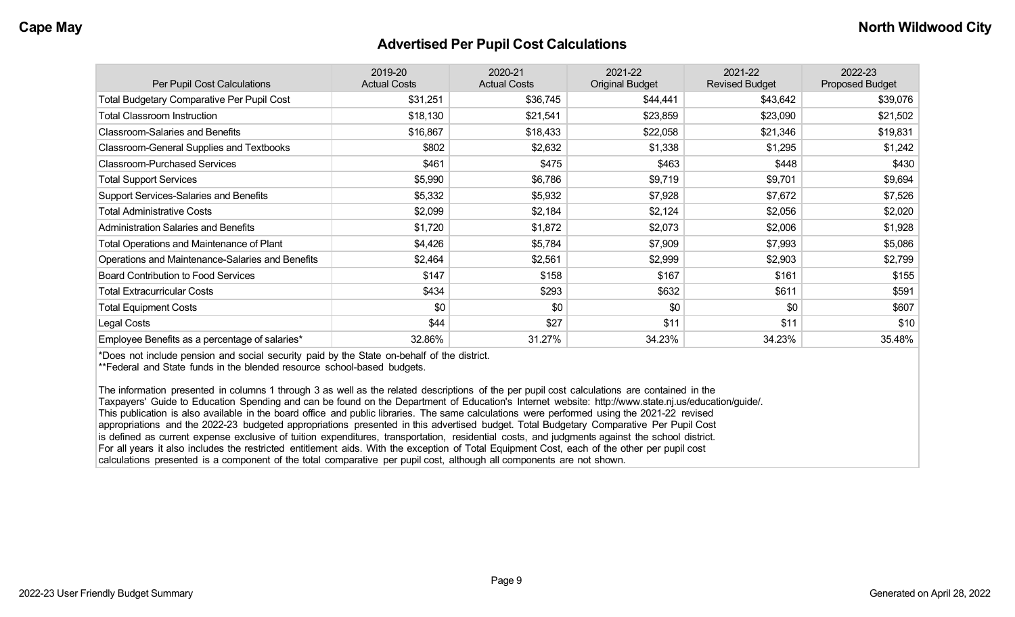#### **Advertised Per Pupil Cost Calculations**

| Per Pupil Cost Calculations                       | 2019-20<br><b>Actual Costs</b> | 2020-21<br><b>Actual Costs</b> | 2021-22<br><b>Original Budget</b> | 2021-22<br><b>Revised Budget</b> | 2022-23<br><b>Proposed Budget</b> |
|---------------------------------------------------|--------------------------------|--------------------------------|-----------------------------------|----------------------------------|-----------------------------------|
| <b>Total Budgetary Comparative Per Pupil Cost</b> | \$31,251                       | \$36,745                       | \$44,441                          | \$43,642                         | \$39,076                          |
| <b>Total Classroom Instruction</b>                | \$18,130                       | \$21,541                       | \$23,859                          | \$23,090                         | \$21,502                          |
| <b>Classroom-Salaries and Benefits</b>            | \$16,867                       | \$18,433                       | \$22,058                          | \$21,346                         | \$19,831                          |
| Classroom-General Supplies and Textbooks          | \$802                          | \$2,632                        | \$1,338                           | \$1,295                          | \$1,242                           |
| <b>Classroom-Purchased Services</b>               | \$461                          | \$475                          | \$463                             | \$448                            | \$430                             |
| <b>Total Support Services</b>                     | \$5,990                        | \$6,786                        | \$9,719                           | \$9,701                          | \$9,694                           |
| Support Services-Salaries and Benefits            | \$5,332                        | \$5,932                        | \$7,928                           | \$7,672                          | \$7,526                           |
| <b>Total Administrative Costs</b>                 | \$2,099                        | \$2,184                        | \$2,124                           | \$2,056                          | \$2,020                           |
| <b>Administration Salaries and Benefits</b>       | \$1,720                        | \$1,872                        | \$2,073                           | \$2,006                          | \$1,928                           |
| Total Operations and Maintenance of Plant         | \$4,426                        | \$5,784                        | \$7,909                           | \$7,993                          | \$5,086                           |
| Operations and Maintenance-Salaries and Benefits  | \$2,464                        | \$2,561                        | \$2,999                           | \$2,903                          | \$2,799                           |
| <b>Board Contribution to Food Services</b>        | \$147                          | \$158                          | \$167                             | \$161                            | \$155                             |
| <b>Total Extracurricular Costs</b>                | \$434                          | \$293                          | \$632                             | \$611                            | \$591                             |
| <b>Total Equipment Costs</b>                      | \$0                            | \$0                            | \$0                               | \$0                              | \$607                             |
| Legal Costs                                       | \$44                           | \$27                           | \$11                              | \$11                             | \$10                              |
| Employee Benefits as a percentage of salaries*    | 32.86%                         | 31.27%                         | 34.23%                            | 34.23%                           | 35.48%                            |

\*Does not include pension and social security paid by the State on-behalf of the district.

\*\*Federal and State funds in the blended resource school-based budgets.

The information presented in columns 1 through 3 as well as the related descriptions of the per pupil cost calculations are contained in the Taxpayers' Guide to Education Spending and can be found on the Department of Education's Internet website: http://www.state.nj.us/education/guide/. This publication is also available in the board office and public libraries. The same calculations were performed using the 2021-22 revised appropriations and the 2022-23 budgeted appropriations presented in this advertised budget. Total Budgetary Comparative Per Pupil Cost is defined as current expense exclusive of tuition expenditures, transportation, residential costs, and judgments against the school district. For all years it also includes the restricted entitlement aids. With the exception of Total Equipment Cost, each of the other per pupil cost calculations presented is a component of the total comparative per pupil cost, although all components are not shown.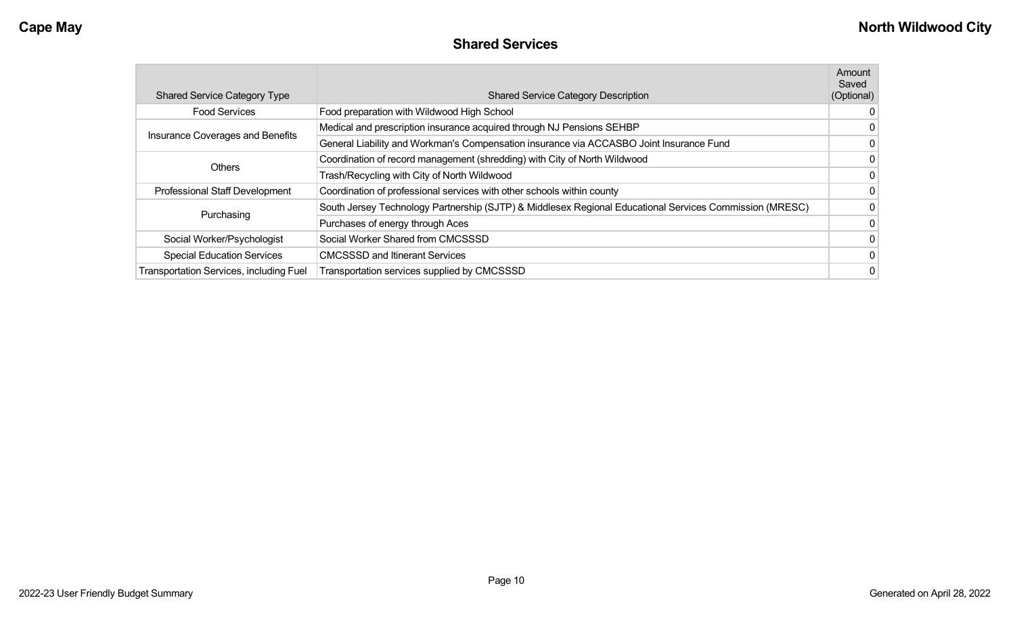### **Shared Services**

|                                         |                                                                                                         | Amount<br>Saved |
|-----------------------------------------|---------------------------------------------------------------------------------------------------------|-----------------|
| <b>Shared Service Category Type</b>     | <b>Shared Service Category Description</b>                                                              | (Optional)      |
| <b>Food Services</b>                    | Food preparation with Wildwood High School                                                              |                 |
| Insurance Coverages and Benefits        | Medical and prescription insurance acquired through NJ Pensions SEHBP                                   | 0               |
|                                         | General Liability and Workman's Compensation insurance via ACCASBO Joint Insurance Fund                 | 0               |
| <b>Others</b>                           | Coordination of record management (shredding) with City of North Wildwood                               | 0               |
|                                         | Trash/Recycling with City of North Wildwood                                                             | 0               |
| <b>Professional Staff Development</b>   | Coordination of professional services with other schools within county                                  | 0               |
| Purchasing                              | South Jersey Technology Partnership (SJTP) & Middlesex Regional Educational Services Commission (MRESC) | 0               |
|                                         | Purchases of energy through Aces                                                                        | $\mathbf{0}$    |
| Social Worker/Psychologist              | Social Worker Shared from CMCSSSD                                                                       | 0               |
| <b>Special Education Services</b>       | <b>CMCSSSD and Itinerant Services</b>                                                                   | 0               |
| Transportation Services, including Fuel | Transportation services supplied by CMCSSSD                                                             | 0               |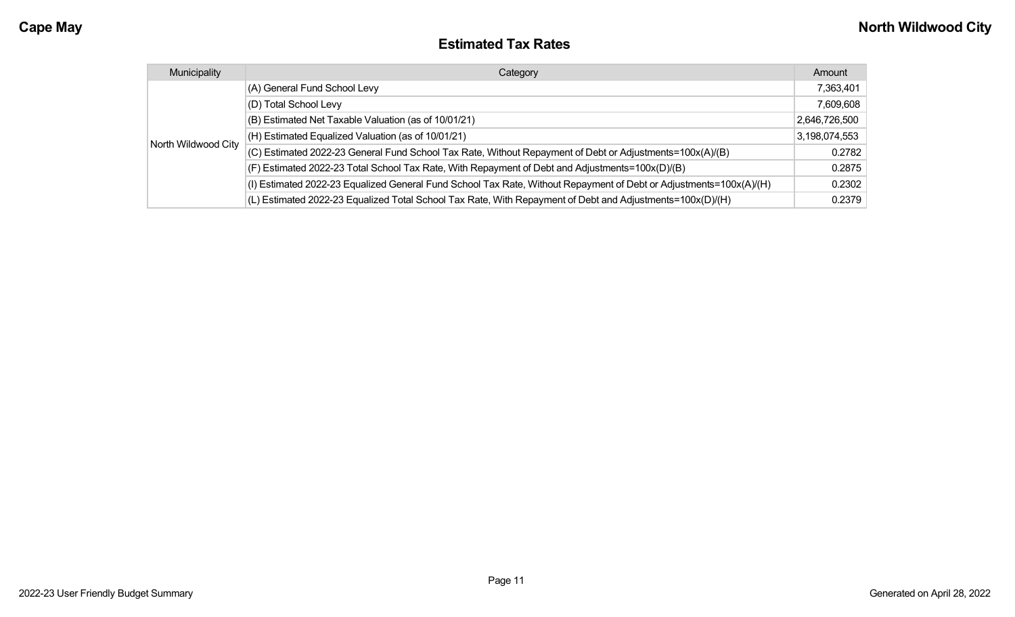| <b>Estimated Tax Rates</b> |
|----------------------------|
|----------------------------|

| Municipality        | Category                                                                                                           | Amount        |
|---------------------|--------------------------------------------------------------------------------------------------------------------|---------------|
| North Wildwood City | (A) General Fund School Levy                                                                                       | 7,363,401     |
|                     | (D) Total School Levy                                                                                              | 7,609,608     |
|                     | (B) Estimated Net Taxable Valuation (as of 10/01/21)                                                               | 2,646,726,500 |
|                     | (H) Estimated Equalized Valuation (as of 10/01/21)                                                                 | 3,198,074,553 |
|                     | (C) Estimated 2022-23 General Fund School Tax Rate, Without Repayment of Debt or Adjustments=100x(A)/(B)           | 0.2782        |
|                     | (F) Estimated 2022-23 Total School Tax Rate, With Repayment of Debt and Adjustments=100x(D)/(B)                    | 0.2875        |
|                     | (I) Estimated 2022-23 Equalized General Fund School Tax Rate, Without Repayment of Debt or Adjustments=100x(A)/(H) | 0.2302        |
|                     | (L) Estimated 2022-23 Equalized Total School Tax Rate, With Repayment of Debt and Adjustments=100x(D)/(H)          | 0.2379        |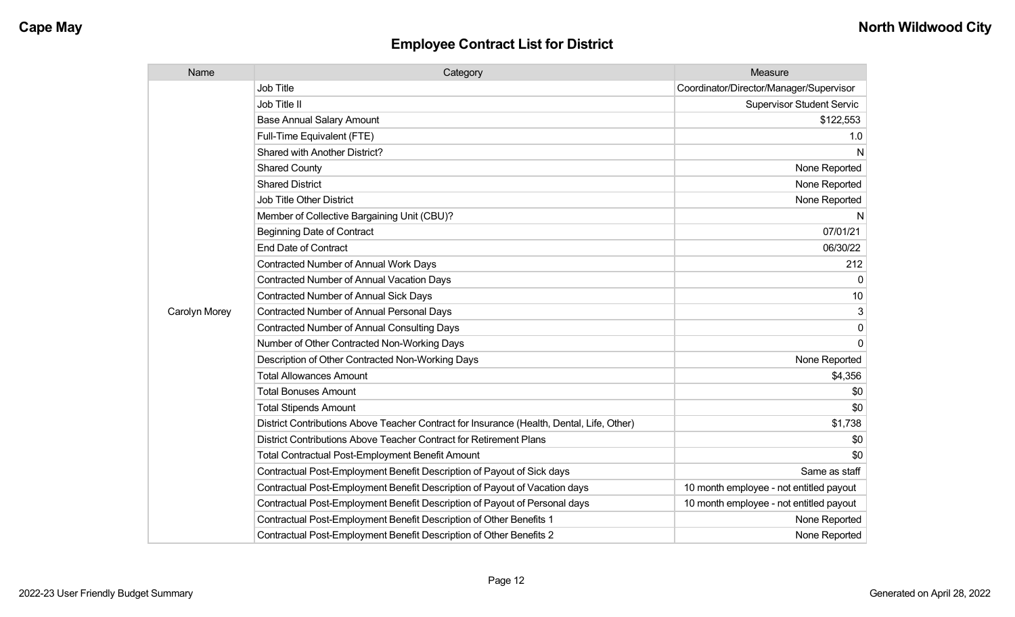| Name          | Category                                                                                  | Measure                                 |
|---------------|-------------------------------------------------------------------------------------------|-----------------------------------------|
|               | <b>Job Title</b>                                                                          | Coordinator/Director/Manager/Supervisor |
|               | Job Title II                                                                              | <b>Supervisor Student Servic</b>        |
|               | <b>Base Annual Salary Amount</b>                                                          | \$122,553                               |
|               | Full-Time Equivalent (FTE)                                                                | 1.0                                     |
|               | Shared with Another District?                                                             | N                                       |
|               | <b>Shared County</b>                                                                      | None Reported                           |
|               | <b>Shared District</b>                                                                    | None Reported                           |
|               | <b>Job Title Other District</b>                                                           | None Reported                           |
|               | Member of Collective Bargaining Unit (CBU)?                                               | N                                       |
|               | <b>Beginning Date of Contract</b>                                                         | 07/01/21                                |
|               | <b>End Date of Contract</b>                                                               | 06/30/22                                |
|               | <b>Contracted Number of Annual Work Days</b>                                              | 212                                     |
|               | <b>Contracted Number of Annual Vacation Days</b>                                          | $\Omega$                                |
|               | Contracted Number of Annual Sick Days                                                     | 10                                      |
| Carolyn Morey | <b>Contracted Number of Annual Personal Days</b>                                          | 3                                       |
|               | <b>Contracted Number of Annual Consulting Days</b>                                        | 0                                       |
|               | Number of Other Contracted Non-Working Days                                               | $\Omega$                                |
|               | Description of Other Contracted Non-Working Days                                          | None Reported                           |
|               | <b>Total Allowances Amount</b>                                                            | \$4,356                                 |
|               | <b>Total Bonuses Amount</b>                                                               | \$0                                     |
|               | <b>Total Stipends Amount</b>                                                              | \$0                                     |
|               | District Contributions Above Teacher Contract for Insurance (Health, Dental, Life, Other) | \$1,738                                 |
|               | District Contributions Above Teacher Contract for Retirement Plans                        | \$0                                     |
|               | Total Contractual Post-Employment Benefit Amount                                          | \$0                                     |
|               | Contractual Post-Employment Benefit Description of Payout of Sick days                    | Same as staff                           |
|               | Contractual Post-Employment Benefit Description of Payout of Vacation days                | 10 month employee - not entitled payout |
|               | Contractual Post-Employment Benefit Description of Payout of Personal days                | 10 month employee - not entitled payout |
|               | Contractual Post-Employment Benefit Description of Other Benefits 1                       | None Reported                           |
|               | Contractual Post-Employment Benefit Description of Other Benefits 2                       | None Reported                           |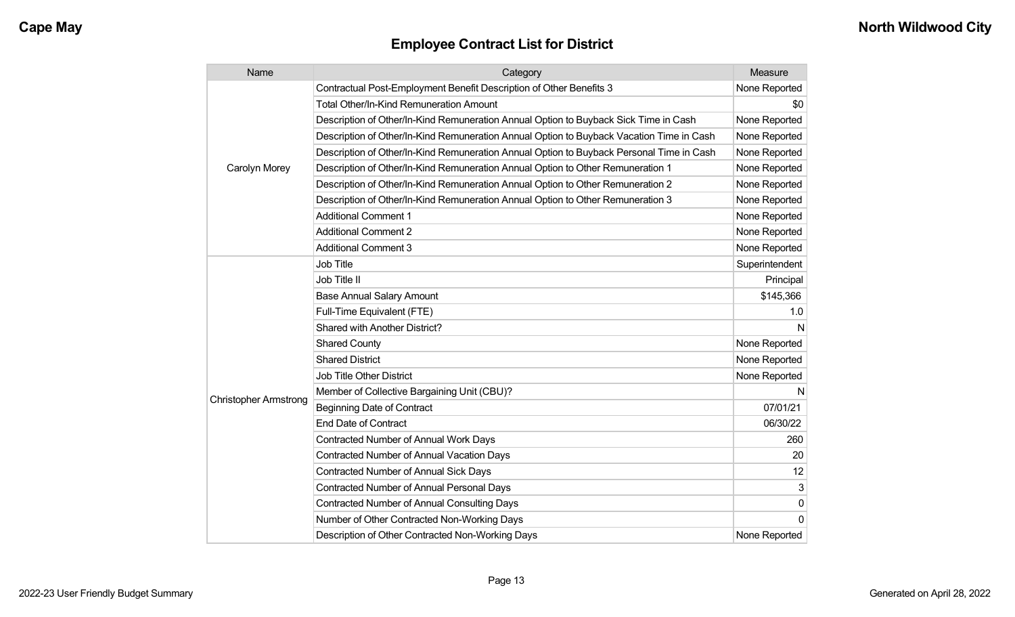| Name                         | Category                                                                                 | Measure        |
|------------------------------|------------------------------------------------------------------------------------------|----------------|
|                              | Contractual Post-Employment Benefit Description of Other Benefits 3                      | None Reported  |
|                              | <b>Total Other/In-Kind Remuneration Amount</b>                                           | \$0            |
|                              | Description of Other/In-Kind Remuneration Annual Option to Buyback Sick Time in Cash     | None Reported  |
|                              | Description of Other/In-Kind Remuneration Annual Option to Buyback Vacation Time in Cash | None Reported  |
|                              | Description of Other/In-Kind Remuneration Annual Option to Buyback Personal Time in Cash | None Reported  |
| Carolyn Morey                | Description of Other/In-Kind Remuneration Annual Option to Other Remuneration 1          | None Reported  |
|                              | Description of Other/In-Kind Remuneration Annual Option to Other Remuneration 2          | None Reported  |
|                              | Description of Other/In-Kind Remuneration Annual Option to Other Remuneration 3          | None Reported  |
|                              | <b>Additional Comment 1</b>                                                              | None Reported  |
|                              | <b>Additional Comment 2</b>                                                              | None Reported  |
|                              | <b>Additional Comment 3</b>                                                              | None Reported  |
|                              | Job Title                                                                                | Superintendent |
|                              | Job Title II                                                                             | Principal      |
|                              | <b>Base Annual Salary Amount</b>                                                         | \$145,366      |
|                              | Full-Time Equivalent (FTE)                                                               | 1.0            |
|                              | Shared with Another District?                                                            | N              |
|                              | <b>Shared County</b>                                                                     | None Reported  |
|                              | <b>Shared District</b>                                                                   | None Reported  |
|                              | <b>Job Title Other District</b>                                                          | None Reported  |
|                              | Member of Collective Bargaining Unit (CBU)?                                              | N              |
| <b>Christopher Armstrong</b> | <b>Beginning Date of Contract</b>                                                        | 07/01/21       |
|                              | <b>End Date of Contract</b>                                                              | 06/30/22       |
|                              | Contracted Number of Annual Work Days                                                    | 260            |
|                              | <b>Contracted Number of Annual Vacation Days</b>                                         | 20             |
|                              | <b>Contracted Number of Annual Sick Days</b>                                             | 12             |
|                              | Contracted Number of Annual Personal Days                                                | 3              |
|                              | <b>Contracted Number of Annual Consulting Days</b>                                       | 0              |
|                              | Number of Other Contracted Non-Working Days                                              | $\Omega$       |
|                              | Description of Other Contracted Non-Working Days                                         | None Reported  |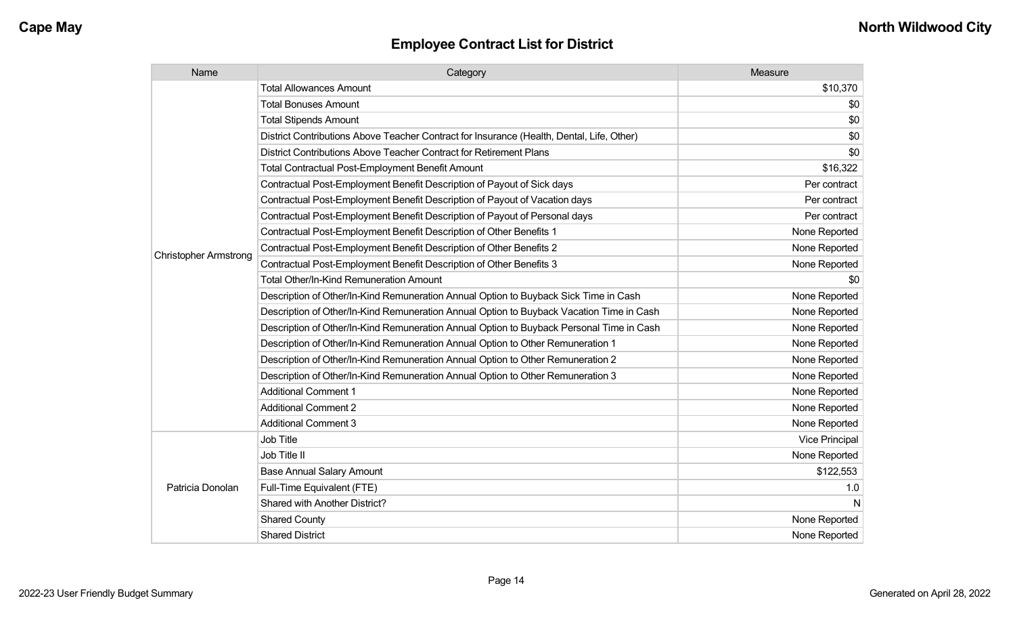| Name                         | Category                                                                                  | Measure        |
|------------------------------|-------------------------------------------------------------------------------------------|----------------|
|                              | <b>Total Allowances Amount</b>                                                            | \$10,370       |
|                              | <b>Total Bonuses Amount</b>                                                               | \$0            |
|                              | <b>Total Stipends Amount</b>                                                              | \$0            |
|                              | District Contributions Above Teacher Contract for Insurance (Health, Dental, Life, Other) | \$0            |
|                              | District Contributions Above Teacher Contract for Retirement Plans                        | \$0            |
|                              | Total Contractual Post-Employment Benefit Amount                                          | \$16,322       |
|                              | Contractual Post-Employment Benefit Description of Payout of Sick days                    | Per contract   |
|                              | Contractual Post-Employment Benefit Description of Payout of Vacation days                | Per contract   |
|                              | Contractual Post-Employment Benefit Description of Payout of Personal days                | Per contract   |
|                              | Contractual Post-Employment Benefit Description of Other Benefits 1                       | None Reported  |
| <b>Christopher Armstrong</b> | Contractual Post-Employment Benefit Description of Other Benefits 2                       | None Reported  |
|                              | Contractual Post-Employment Benefit Description of Other Benefits 3                       | None Reported  |
|                              | <b>Total Other/In-Kind Remuneration Amount</b>                                            | \$0            |
|                              | Description of Other/In-Kind Remuneration Annual Option to Buyback Sick Time in Cash      | None Reported  |
|                              | Description of Other/In-Kind Remuneration Annual Option to Buyback Vacation Time in Cash  | None Reported  |
|                              | Description of Other/In-Kind Remuneration Annual Option to Buyback Personal Time in Cash  | None Reported  |
|                              | Description of Other/In-Kind Remuneration Annual Option to Other Remuneration 1           | None Reported  |
|                              | Description of Other/In-Kind Remuneration Annual Option to Other Remuneration 2           | None Reported  |
|                              | Description of Other/In-Kind Remuneration Annual Option to Other Remuneration 3           | None Reported  |
|                              | <b>Additional Comment 1</b>                                                               | None Reported  |
|                              | <b>Additional Comment 2</b>                                                               | None Reported  |
|                              | <b>Additional Comment 3</b>                                                               | None Reported  |
|                              | Job Title                                                                                 | Vice Principal |
|                              | Job Title II                                                                              | None Reported  |
| Patricia Donolan             | <b>Base Annual Salary Amount</b>                                                          | \$122,553      |
|                              | Full-Time Equivalent (FTE)                                                                | 1.0            |
|                              | Shared with Another District?                                                             | N              |
|                              | <b>Shared County</b>                                                                      | None Reported  |
|                              | <b>Shared District</b>                                                                    | None Reported  |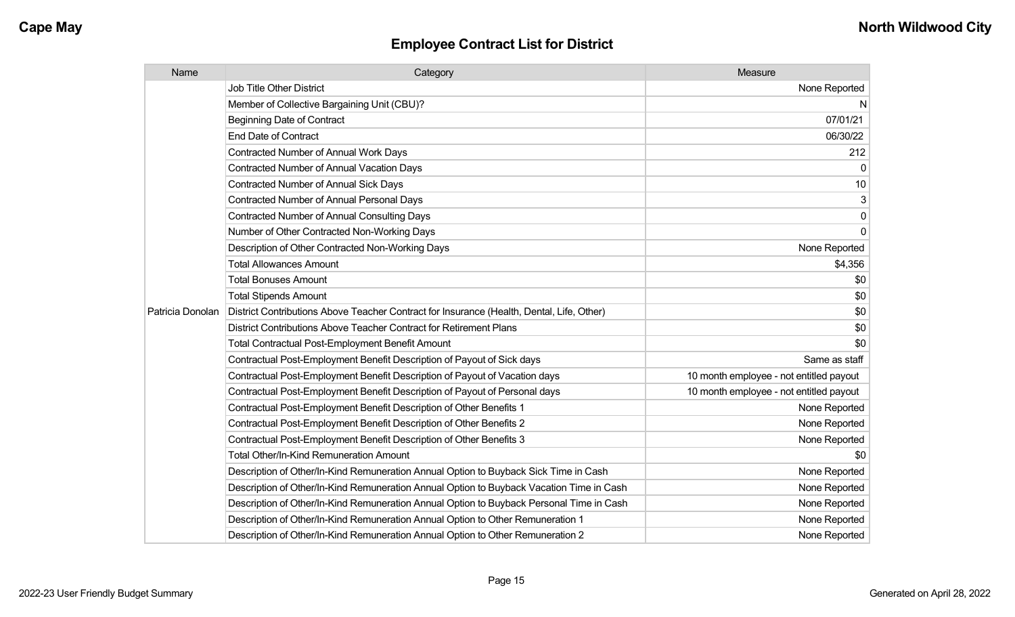| Name             | Category                                                                                  | Measure                                 |
|------------------|-------------------------------------------------------------------------------------------|-----------------------------------------|
|                  | <b>Job Title Other District</b>                                                           | None Reported                           |
|                  | Member of Collective Bargaining Unit (CBU)?                                               | N                                       |
|                  | <b>Beginning Date of Contract</b>                                                         | 07/01/21                                |
|                  | <b>End Date of Contract</b>                                                               | 06/30/22                                |
|                  | Contracted Number of Annual Work Days                                                     | 212                                     |
|                  | <b>Contracted Number of Annual Vacation Days</b>                                          | 0                                       |
|                  | <b>Contracted Number of Annual Sick Days</b>                                              | 10                                      |
|                  | <b>Contracted Number of Annual Personal Days</b>                                          | 3                                       |
|                  | <b>Contracted Number of Annual Consulting Days</b>                                        | 0                                       |
|                  | Number of Other Contracted Non-Working Days                                               | 0                                       |
|                  | Description of Other Contracted Non-Working Days                                          | None Reported                           |
|                  | <b>Total Allowances Amount</b>                                                            | \$4,356                                 |
|                  | <b>Total Bonuses Amount</b>                                                               | \$0                                     |
|                  | <b>Total Stipends Amount</b>                                                              | \$0                                     |
| Patricia Donolan | District Contributions Above Teacher Contract for Insurance (Health, Dental, Life, Other) | \$0                                     |
|                  | District Contributions Above Teacher Contract for Retirement Plans                        | \$0                                     |
|                  | <b>Total Contractual Post-Employment Benefit Amount</b>                                   | \$0                                     |
|                  | Contractual Post-Employment Benefit Description of Payout of Sick days                    | Same as staff                           |
|                  | Contractual Post-Employment Benefit Description of Payout of Vacation days                | 10 month employee - not entitled payout |
|                  | Contractual Post-Employment Benefit Description of Payout of Personal days                | 10 month employee - not entitled payout |
|                  | Contractual Post-Employment Benefit Description of Other Benefits 1                       | None Reported                           |
|                  | Contractual Post-Employment Benefit Description of Other Benefits 2                       | None Reported                           |
|                  | Contractual Post-Employment Benefit Description of Other Benefits 3                       | None Reported                           |
|                  | <b>Total Other/In-Kind Remuneration Amount</b>                                            | \$0                                     |
|                  | Description of Other/In-Kind Remuneration Annual Option to Buyback Sick Time in Cash      | None Reported                           |
|                  | Description of Other/In-Kind Remuneration Annual Option to Buyback Vacation Time in Cash  | None Reported                           |
|                  | Description of Other/In-Kind Remuneration Annual Option to Buyback Personal Time in Cash  | None Reported                           |
|                  | Description of Other/In-Kind Remuneration Annual Option to Other Remuneration 1           | None Reported                           |
|                  | Description of Other/In-Kind Remuneration Annual Option to Other Remuneration 2           | None Reported                           |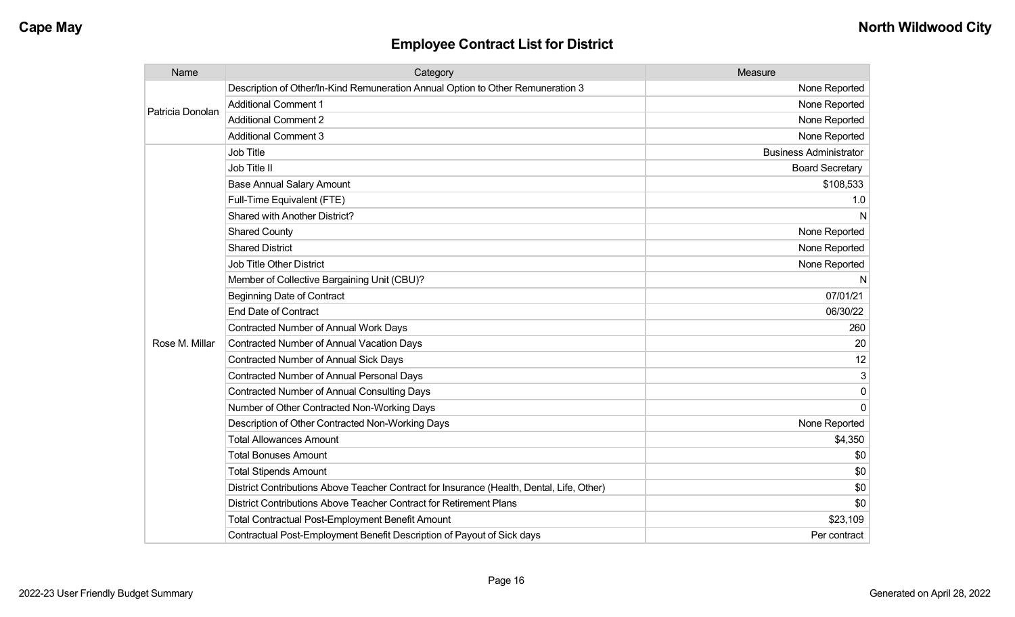| Name             | Category                                                                                  | Measure                       |
|------------------|-------------------------------------------------------------------------------------------|-------------------------------|
| Patricia Donolan | Description of Other/In-Kind Remuneration Annual Option to Other Remuneration 3           | None Reported                 |
|                  | <b>Additional Comment 1</b>                                                               | None Reported                 |
|                  | <b>Additional Comment 2</b>                                                               | None Reported                 |
|                  | <b>Additional Comment 3</b>                                                               | None Reported                 |
|                  | <b>Job Title</b>                                                                          | <b>Business Administrator</b> |
|                  | Job Title II                                                                              | <b>Board Secretary</b>        |
|                  | <b>Base Annual Salary Amount</b>                                                          | \$108,533                     |
|                  | Full-Time Equivalent (FTE)                                                                | 1.0                           |
|                  | Shared with Another District?                                                             | N                             |
|                  | <b>Shared County</b>                                                                      | None Reported                 |
|                  | <b>Shared District</b>                                                                    | None Reported                 |
|                  | <b>Job Title Other District</b>                                                           | None Reported                 |
|                  | Member of Collective Bargaining Unit (CBU)?                                               | N                             |
|                  | <b>Beginning Date of Contract</b>                                                         | 07/01/21                      |
|                  | <b>End Date of Contract</b>                                                               | 06/30/22                      |
|                  | Contracted Number of Annual Work Days                                                     | 260                           |
| Rose M. Millar   | Contracted Number of Annual Vacation Days                                                 | 20                            |
|                  | Contracted Number of Annual Sick Days                                                     | 12                            |
|                  | <b>Contracted Number of Annual Personal Days</b>                                          | 3                             |
|                  | <b>Contracted Number of Annual Consulting Days</b>                                        | 0                             |
|                  | Number of Other Contracted Non-Working Days                                               | $\mathbf{0}$                  |
|                  | Description of Other Contracted Non-Working Days                                          | None Reported                 |
|                  | <b>Total Allowances Amount</b>                                                            | \$4,350                       |
|                  | <b>Total Bonuses Amount</b>                                                               | \$0                           |
|                  | <b>Total Stipends Amount</b>                                                              | \$0                           |
|                  | District Contributions Above Teacher Contract for Insurance (Health, Dental, Life, Other) | \$0                           |
|                  | District Contributions Above Teacher Contract for Retirement Plans                        | \$0                           |
|                  | <b>Total Contractual Post-Employment Benefit Amount</b>                                   | \$23,109                      |
|                  | Contractual Post-Employment Benefit Description of Payout of Sick days                    | Per contract                  |